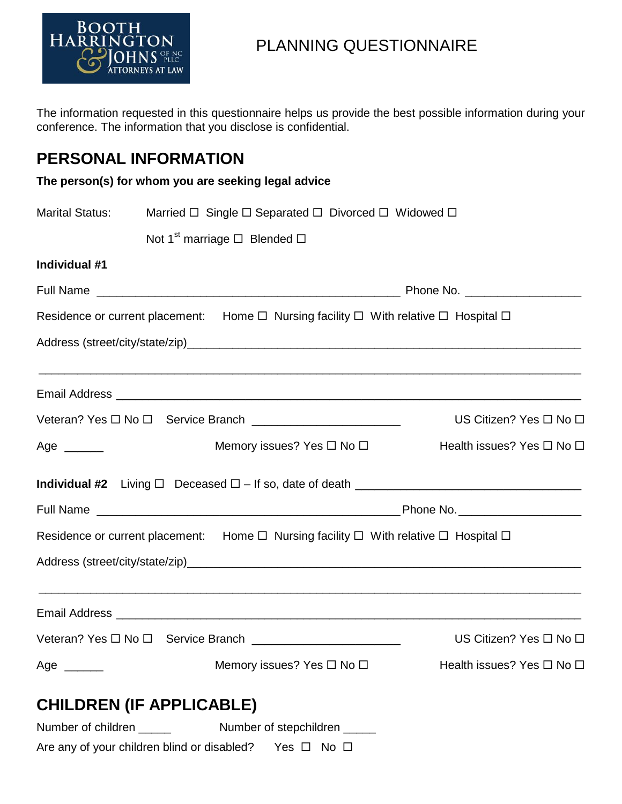

# PLANNING QUESTIONNAIRE

The information requested in this questionnaire helps us provide the best possible information during your conference. The information that you disclose is confidential.

### **PERSONAL INFORMATION**

| <b>Marital Status:</b>                                          | Married □ Single □ Separated □ Divorced □ Widowed □ |                                                                                                          |                                                                                   |  |  |
|-----------------------------------------------------------------|-----------------------------------------------------|----------------------------------------------------------------------------------------------------------|-----------------------------------------------------------------------------------|--|--|
|                                                                 | Not 1 <sup>st</sup> marriage $\Box$ Blended $\Box$  |                                                                                                          |                                                                                   |  |  |
| Individual #1                                                   |                                                     |                                                                                                          |                                                                                   |  |  |
|                                                                 |                                                     |                                                                                                          |                                                                                   |  |  |
|                                                                 |                                                     | Residence or current placement: Home $\Box$ Nursing facility $\Box$ With relative $\Box$ Hospital $\Box$ |                                                                                   |  |  |
|                                                                 |                                                     |                                                                                                          |                                                                                   |  |  |
|                                                                 |                                                     |                                                                                                          | ,我们也不能在这里的人,我们也不能在这里的人,我们也不能在这里的人,我们也不能在这里的人,我们也不能在这里的人,我们也不能在这里的人,我们也不能在这里的人,我们也 |  |  |
| Veteran? Yes □ No □ Service Branch ____________________________ |                                                     |                                                                                                          | US Citizen? Yes □ No □                                                            |  |  |
| Age $\_\_$                                                      |                                                     | Memory issues? Yes □ No □                                                                                | Health issues? Yes □ No □                                                         |  |  |
|                                                                 |                                                     |                                                                                                          | Individual #2 Living $\Box$ Deceased $\Box$ - If so, date of death $\Box$         |  |  |
|                                                                 |                                                     |                                                                                                          |                                                                                   |  |  |
|                                                                 |                                                     | Residence or current placement: Home $\Box$ Nursing facility $\Box$ With relative $\Box$ Hospital $\Box$ |                                                                                   |  |  |
|                                                                 |                                                     |                                                                                                          |                                                                                   |  |  |
|                                                                 |                                                     |                                                                                                          | ,我们也不能在这里的时候,我们也不能在这里的时候,我们也不能在这里的时候,我们也不能会在这里的时候,我们也不能会在这里的时候,我们也不能会在这里的时候,我们也不能 |  |  |
|                                                                 |                                                     | Veteran? Yes □ No □ Service Branch ____________________________                                          | US Citizen? Yes □ No □                                                            |  |  |
| Age $\_\_$                                                      |                                                     | Memory issues? Yes $\Box$ No $\Box$                                                                      | Health issues? Yes □ No □                                                         |  |  |
|                                                                 | <b>CHILDREN (IF APPLICABLE)</b>                     |                                                                                                          |                                                                                   |  |  |
|                                                                 |                                                     |                                                                                                          |                                                                                   |  |  |

Are any of your children blind or disabled? Yes  $\Box$  No  $\Box$